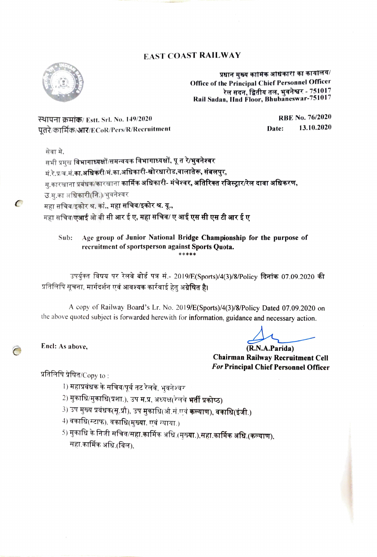### EAST COAST RAILWAY



प्रधान मुख्य कामिक आधकारी का कायोलय/ Office of the Principal Chief Personnel Officer रेल सदन, द्वितीय तल, भुवनेश्वर - 751017 Rail Sadan, lInd Floor, Bhubaneswar-751017

RBE No. 76/2020 RRBE No. 76/2020<br>Rah Gardina (Record Pers/R/Recruitment paints) Rate: 13.10.2020 पतरे/कार्मिक/आर/ECoR/Pers/R/Recruitment

 $\epsilon$ 

सेवा मे.<br>सभी प्रमुख **विभागाध्यक्षों/समन्वयक विभागाध्यक्षों, पू त रे/भुवनेश्वर** मं.रे.प्र/व.मं.का.अधिकरी/मं.का.अधिकारी-खोरधारोड,वालातेरू, संबलपुर, म.कारखाना प्रबंधक/कारखाना कार्मिक अधिकारी- मंचेश्वर, अतिरिक्त रजिस्ट्रार/रेल दावा अधिकरण,

उ.म्.का अधिकारी(नि.)/भुवनेश्वर

महा सचिव/इकोर श्र. कां., महा सचिव/इकोर श्र. यू.,

महा सचिव/एआई ओ बी सी आर ई ए, <mark>महा सचिव/ ए आई एस सी एस टी आर ई ए</mark>

Age group of Junior National Bridge Championship for the purpose of recruitment of sportsperson against Sports Quota. Sub: \*\*\*\*

उपर्यक्त विषय पर रेलवे बोर्ड पत्र सं.- 2019/E(Sports)/4(3)/8/Policy दिनांक 07.09.2020 की प्रतिलिपि सूचना, मार्गदर्शन एवं आवश्यक कार्रवाई हेतु अ**ग्रेषित है।** 

A copy of Railway Board's Lr. No. 2019/E(Sports)/4(3)/8/Policy Dated 07.09.2020 on the above quoted subject is forwarded herewith for information, guidance and necessary action.

Encl: As above,

(R.N.A.Parida) Chairman Railway Recruitment Cell For Principal Chief Personnel Officer

प्रतिलिपि प्रेषित/ $\mathsf{Copy}$  to :

- ⊺) महाप्रबंधक के सचिव/पूर्व तट रेलवे, भुवनेश्वर
- 2) मुकाधि/मुकाधि(प्रशा.), उप म.प्र, अध्यक्ष(रेलवे **भर्ती प्रकोष्ठ)**
- 3) उप मुख्य प्रबंधक(सू.प्रौ), उप मुकाधि(औ.सं.एवं **कल्याण), वकाधि(इंजी.)**
- $4$ ) वकाधि(स्टाफ), वकाधि(मुख्या. एवं न्याया.)
- 5) मुकाधि के निजी सचिव/सहा.कार्मिक अधि.(मुख्**या.),सहा.कार्मिक अधि.(कल्याण),**<br>महा.कार्मिक अधि.(बिल).